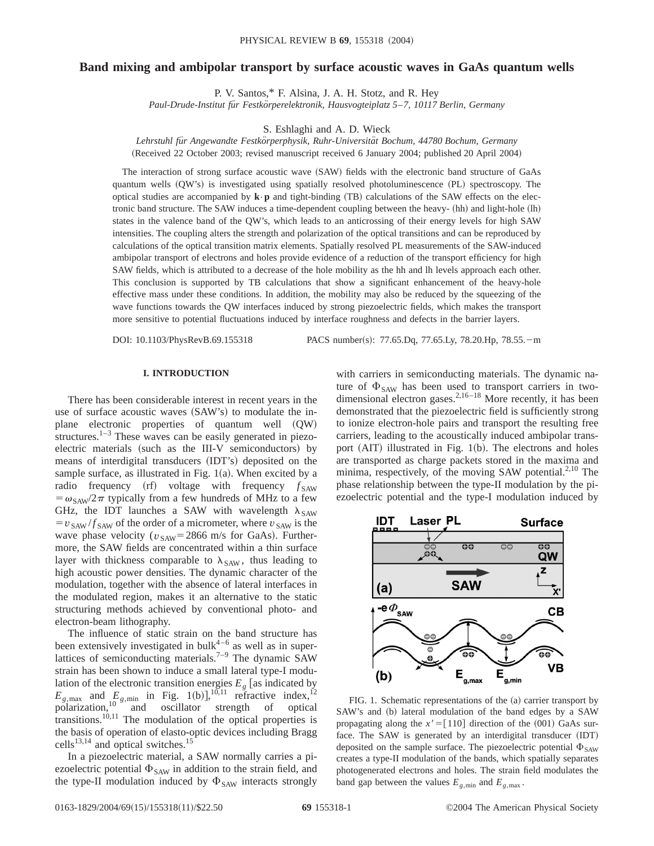# **Band mixing and ambipolar transport by surface acoustic waves in GaAs quantum wells**

P. V. Santos,\* F. Alsina, J. A. H. Stotz, and R. Hey

*Paul-Drude-Institut fu¨r Festko¨rperelektronik, Hausvogteiplatz 5*–*7, 10117 Berlin, Germany*

S. Eshlaghi and A. D. Wieck

*Lehrstuhl fu¨r Angewandte Festko¨rperphysik, Ruhr-Universita¨t Bochum, 44780 Bochum, Germany* (Received 22 October 2003; revised manuscript received 6 January 2004; published 20 April 2004)

The interaction of strong surface acoustic wave  $(SAW)$  fields with the electronic band structure of GaAs quantum wells (QW's) is investigated using spatially resolved photoluminescence (PL) spectroscopy. The optical studies are accompanied by  $\mathbf{k} \cdot \mathbf{p}$  and tight-binding (TB) calculations of the SAW effects on the electronic band structure. The SAW induces a time-dependent coupling between the heavy- (hh) and light-hole (lh) states in the valence band of the QW's, which leads to an anticrossing of their energy levels for high SAW intensities. The coupling alters the strength and polarization of the optical transitions and can be reproduced by calculations of the optical transition matrix elements. Spatially resolved PL measurements of the SAW-induced ambipolar transport of electrons and holes provide evidence of a reduction of the transport efficiency for high SAW fields, which is attributed to a decrease of the hole mobility as the hh and lh levels approach each other. This conclusion is supported by TB calculations that show a significant enhancement of the heavy-hole effective mass under these conditions. In addition, the mobility may also be reduced by the squeezing of the wave functions towards the QW interfaces induced by strong piezoelectric fields, which makes the transport more sensitive to potential fluctuations induced by interface roughness and defects in the barrier layers.

DOI: 10.1103/PhysRevB.69.155318 PACS number(s): 77.65.Dq, 77.65.Ly, 78.20.Hp, 78.55.-m

# **I. INTRODUCTION**

There has been considerable interest in recent years in the use of surface acoustic waves (SAW's) to modulate the inplane electronic properties of quantum well (QW) structures.<sup>1–3</sup> These waves can be easily generated in piezoelectric materials (such as the III-V semiconductors) by means of interdigital transducers (IDT's) deposited on the sample surface, as illustrated in Fig.  $1(a)$ . When excited by a radio frequency  $(rf)$  voltage with frequency  $f_{SAW}$  $=\omega_{\text{SAW}}/2\pi$  typically from a few hundreds of MHz to a few GHz, the IDT launches a SAW with wavelength  $\lambda_{SAW}$  $=v_{SAW}/f_{SAW}$  of the order of a micrometer, where  $v_{SAW}$  is the wave phase velocity ( $v_{SAW}$ =2866 m/s for GaAs). Furthermore, the SAW fields are concentrated within a thin surface layer with thickness comparable to  $\lambda_{SAW}$ , thus leading to high acoustic power densities. The dynamic character of the modulation, together with the absence of lateral interfaces in the modulated region, makes it an alternative to the static structuring methods achieved by conventional photo- and electron-beam lithography.

The influence of static strain on the band structure has been extensively investigated in bulk $4-6$  as well as in superlattices of semiconducting materials.<sup>7–9</sup> The dynamic SAW strain has been shown to induce a small lateral type-I modulation of the electronic transition energies  $E<sub>g</sub>$  [as indicated by  $E_{g,\text{max}}$  and  $E_{g,\text{min}}$  in Fig. 1(b)],<sup>10,11</sup> refractive index,<sup>12</sup> polarization,<sup>10</sup> and oscillator strength of optical transitions.<sup>10,11</sup> The modulation of the optical properties is the basis of operation of elasto-optic devices including Bragg cells<sup>13,14</sup> and optical switches.<sup>15</sup>

In a piezoelectric material, a SAW normally carries a piezoelectric potential  $\Phi_{SAW}$  in addition to the strain field, and the type-II modulation induced by  $\Phi_{SAW}$  interacts strongly with carriers in semiconducting materials. The dynamic nature of  $\Phi_{SAW}$  has been used to transport carriers in twodimensional electron gases. $2,16-18$  More recently, it has been demonstrated that the piezoelectric field is sufficiently strong to ionize electron-hole pairs and transport the resulting free carriers, leading to the acoustically induced ambipolar transport  $(AIT)$  illustrated in Fig. 1(b). The electrons and holes are transported as charge packets stored in the maxima and minima, respectively, of the moving SAW potential.<sup>2,10</sup> The phase relationship between the type-II modulation by the piezoelectric potential and the type-I modulation induced by



FIG. 1. Schematic representations of the  $(a)$  carrier transport by SAW's and (b) lateral modulation of the band edges by a SAW propagating along the  $x' = [110]$  direction of the (001) GaAs surface. The SAW is generated by an interdigital transducer (IDT) deposited on the sample surface. The piezoelectric potential  $\Phi_{SAW}$ creates a type-II modulation of the bands, which spatially separates photogenerated electrons and holes. The strain field modulates the band gap between the values  $E_{g,\text{min}}$  and  $E_{g,\text{max}}$ .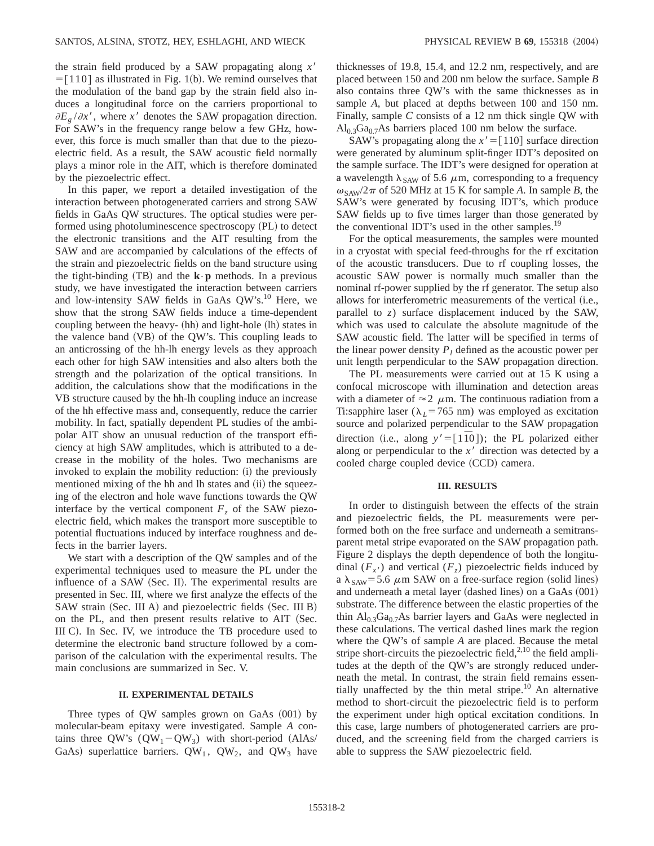the strain field produced by a SAW propagating along *x*8  $=$ [110] as illustrated in Fig. 1(b). We remind ourselves that the modulation of the band gap by the strain field also induces a longitudinal force on the carriers proportional to  $\partial E_g / \partial x'$ , where *x*<sup> $\prime$ </sup> denotes the SAW propagation direction. For SAW's in the frequency range below a few GHz, however, this force is much smaller than that due to the piezoelectric field. As a result, the SAW acoustic field normally plays a minor role in the AIT, which is therefore dominated by the piezoelectric effect.

In this paper, we report a detailed investigation of the interaction between photogenerated carriers and strong SAW fields in GaAs QW structures. The optical studies were performed using photoluminescence spectroscopy (PL) to detect the electronic transitions and the AIT resulting from the SAW and are accompanied by calculations of the effects of the strain and piezoelectric fields on the band structure using the tight-binding  $(TB)$  and the  $\mathbf{k} \cdot \mathbf{p}$  methods. In a previous study, we have investigated the interaction between carriers and low-intensity SAW fields in GaAs QW's.<sup>10</sup> Here, we show that the strong SAW fields induce a time-dependent coupling between the heavy- (hh) and light-hole (lh) states in the valence band  $(VB)$  of the QW's. This coupling leads to an anticrossing of the hh-lh energy levels as they approach each other for high SAW intensities and also alters both the strength and the polarization of the optical transitions. In addition, the calculations show that the modifications in the VB structure caused by the hh-lh coupling induce an increase of the hh effective mass and, consequently, reduce the carrier mobility. In fact, spatially dependent PL studies of the ambipolar AIT show an unusual reduction of the transport efficiency at high SAW amplitudes, which is attributed to a decrease in the mobility of the holes. Two mechanisms are invoked to explain the mobility reduction:  $(i)$  the previously mentioned mixing of the hh and lh states and (ii) the squeezing of the electron and hole wave functions towards the QW interface by the vertical component  $F<sub>z</sub>$  of the SAW piezoelectric field, which makes the transport more susceptible to potential fluctuations induced by interface roughness and defects in the barrier layers.

We start with a description of the QW samples and of the experimental techniques used to measure the PL under the influence of a SAW  $(Sec. II)$ . The experimental results are presented in Sec. III, where we first analyze the effects of the SAW strain (Sec. III A) and piezoelectric fields (Sec. III B) on the PL, and then present results relative to AIT (Sec. III C). In Sec. IV, we introduce the TB procedure used to determine the electronic band structure followed by a comparison of the calculation with the experimental results. The main conclusions are summarized in Sec. V.

## **II. EXPERIMENTAL DETAILS**

Three types of QW samples grown on GaAs  $(001)$  by molecular-beam epitaxy were investigated. Sample *A* contains three QW's  $(QW_1-QW_3)$  with short-period (AlAs/ GaAs) superlattice barriers.  $QW_1$ ,  $QW_2$ , and  $QW_3$  have thicknesses of 19.8, 15.4, and 12.2 nm, respectively, and are placed between 150 and 200 nm below the surface. Sample *B* also contains three QW's with the same thicknesses as in sample *A*, but placed at depths between 100 and 150 nm. Finally, sample *C* consists of a 12 nm thick single QW with  $Al<sub>0.3</sub>Ga<sub>0.7</sub>As barriers placed 100 nm below the surface.$ 

SAW's propagating along the  $x' = [110]$  surface direction were generated by aluminum split-finger IDT's deposited on the sample surface. The IDT's were designed for operation at a wavelength  $\lambda_{SAW}$  of 5.6  $\mu$ m, corresponding to a frequency  $\omega_{SAW}/2\pi$  of 520 MHz at 15 K for sample *A*. In sample *B*, the SAW's were generated by focusing IDT's, which produce SAW fields up to five times larger than those generated by the conventional IDT's used in the other samples.<sup>19</sup>

For the optical measurements, the samples were mounted in a cryostat with special feed-throughs for the rf excitation of the acoustic transducers. Due to rf coupling losses, the acoustic SAW power is normally much smaller than the nominal rf-power supplied by the rf generator. The setup also allows for interferometric measurements of the vertical (i.e., parallel to *z*) surface displacement induced by the SAW, which was used to calculate the absolute magnitude of the SAW acoustic field. The latter will be specified in terms of the linear power density  $P_l$  defined as the acoustic power per unit length perpendicular to the SAW propagation direction.

The PL measurements were carried out at 15 K using a confocal microscope with illumination and detection areas with a diameter of  $\approx$  2  $\mu$ m. The continuous radiation from a Ti:sapphire laser ( $\lambda_L$ =765 nm) was employed as excitation source and polarized perpendicular to the SAW propagation direction (i.e., along  $y' = [1\overline{1}0]$ ); the PL polarized either along or perpendicular to the  $x<sup>3</sup>$  direction was detected by a cooled charge coupled device (CCD) camera.

### **III. RESULTS**

In order to distinguish between the effects of the strain and piezoelectric fields, the PL measurements were performed both on the free surface and underneath a semitransparent metal stripe evaporated on the SAW propagation path. Figure 2 displays the depth dependence of both the longitudinal  $(F_{x})$  and vertical  $(F_z)$  piezoelectric fields induced by a  $\lambda_{SAW}$ = 5.6  $\mu$ m SAW on a free-surface region (solid lines) and underneath a metal layer (dashed lines) on a GaAs  $(001)$ substrate. The difference between the elastic properties of the thin  $Al<sub>0.3</sub>Ga<sub>0.7</sub>As barrier layers and GaAs were neglected in$ these calculations. The vertical dashed lines mark the region where the QW's of sample *A* are placed. Because the metal stripe short-circuits the piezoelectric field, $2,10$  the field amplitudes at the depth of the QW's are strongly reduced underneath the metal. In contrast, the strain field remains essentially unaffected by the thin metal stripe.<sup>10</sup> An alternative method to short-circuit the piezoelectric field is to perform the experiment under high optical excitation conditions. In this case, large numbers of photogenerated carriers are produced, and the screening field from the charged carriers is able to suppress the SAW piezoelectric field.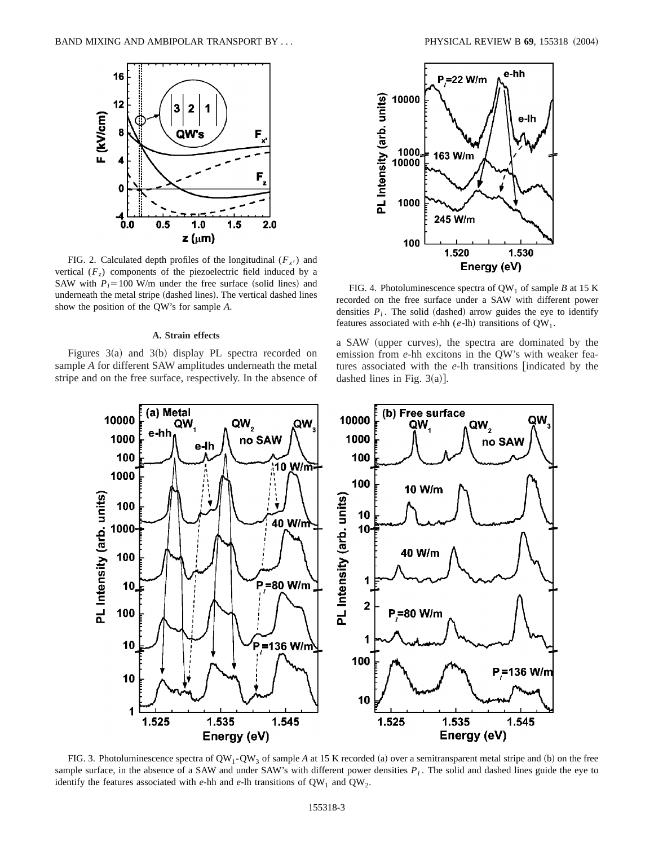

FIG. 2. Calculated depth profiles of the longitudinal  $(F_{x})$  and vertical  $(F<sub>z</sub>)$  components of the piezoelectric field induced by a SAW with  $P_1 = 100$  W/m under the free surface (solid lines) and underneath the metal stripe (dashed lines). The vertical dashed lines show the position of the QW's for sample *A*.

# **A. Strain effects**

Figures  $3(a)$  and  $3(b)$  display PL spectra recorded on sample *A* for different SAW amplitudes underneath the metal stripe and on the free surface, respectively. In the absence of



FIG. 4. Photoluminescence spectra of  $QW_1$  of sample *B* at 15 K recorded on the free surface under a SAW with different power densities  $P_l$ . The solid (dashed) arrow guides the eye to identify features associated with  $e$ -hh ( $e$ -lh) transitions of  $QW_1$ .

a SAW (upper curves), the spectra are dominated by the emission from *e*-hh excitons in the QW's with weaker features associated with the *e*-lh transitions [indicated by the dashed lines in Fig.  $3(a)$ ].



FIG. 3. Photoluminescence spectra of  $QW_1-QW_3$  of sample *A* at 15 K recorded (a) over a semitransparent metal stripe and (b) on the free sample surface, in the absence of a SAW and under SAW's with different power densities  $P_l$ . The solid and dashed lines guide the eye to identify the features associated with  $e$ -hh and  $e$ -lh transitions of  $QW_1$  and  $QW_2$ .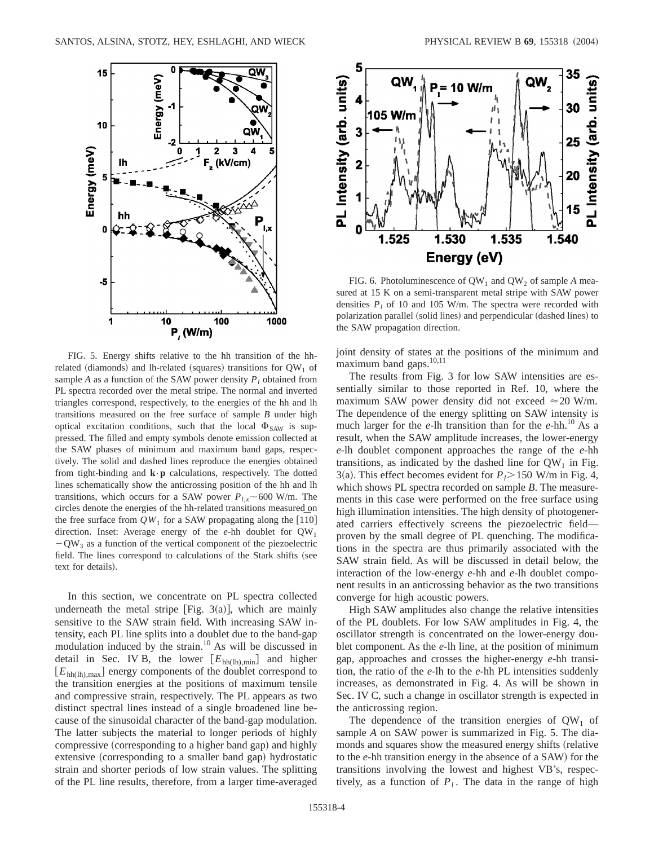

FIG. 5. Energy shifts relative to the hh transition of the hhrelated (diamonds) and lh-related (squares) transitions for  $QW_1$  of sample *A* as a function of the SAW power density  $P_l$  obtained from PL spectra recorded over the metal stripe. The normal and inverted triangles correspond, respectively, to the energies of the hh and lh transitions measured on the free surface of sample *B* under high optical excitation conditions, such that the local  $\Phi_{SAW}$  is suppressed. The filled and empty symbols denote emission collected at the SAW phases of minimum and maximum band gaps, respectively. The solid and dashed lines reproduce the energies obtained from tight-binding and  $\mathbf{k} \cdot \mathbf{p}$  calculations, respectively. The dotted lines schematically show the anticrossing position of the hh and lh transitions, which occurs for a SAW power  $P_{l,x}$  ~600 W/m. The circles denote the energies of the hh-related transitions measured on the free surface from  $QW_1$  for a SAW propagating along the [110] direction. Inset: Average energy of the *e*-hh doublet for QW1  $-QW_3$  as a function of the vertical component of the piezoelectric field. The lines correspond to calculations of the Stark shifts (see text for details).

In this section, we concentrate on PL spectra collected underneath the metal stripe [Fig. 3(a)], which are mainly sensitive to the SAW strain field. With increasing SAW intensity, each PL line splits into a doublet due to the band-gap modulation induced by the strain.<sup>10</sup> As will be discussed in detail in Sec. IV B, the lower  $[E_{hh(lh),min}]$  and higher  $[E_{hh(lh),max}]$  energy components of the doublet correspond to the transition energies at the positions of maximum tensile and compressive strain, respectively. The PL appears as two distinct spectral lines instead of a single broadened line because of the sinusoidal character of the band-gap modulation. The latter subjects the material to longer periods of highly compressive (corresponding to a higher band gap) and highly extensive (corresponding to a smaller band gap) hydrostatic strain and shorter periods of low strain values. The splitting of the PL line results, therefore, from a larger time-averaged



FIG. 6. Photoluminescence of  $QW_1$  and  $QW_2$  of sample *A* measured at 15 K on a semi-transparent metal stripe with SAW power densities  $P_l$  of 10 and 105 W/m. The spectra were recorded with polarization parallel (solid lines) and perpendicular (dashed lines) to the SAW propagation direction.

joint density of states at the positions of the minimum and maximum band gaps.<sup>10,11</sup>

The results from Fig. 3 for low SAW intensities are essentially similar to those reported in Ref. 10, where the maximum SAW power density did not exceed  $\approx$  20 W/m. The dependence of the energy splitting on SAW intensity is much larger for the  $e$ -lh transition than for the  $e$ -hh.<sup>10</sup> As a result, when the SAW amplitude increases, the lower-energy *e*-lh doublet component approaches the range of the *e*-hh transitions, as indicated by the dashed line for  $QW_1$  in Fig. 3(a). This effect becomes evident for  $P_l$  > 150 W/m in Fig. 4, which shows PL spectra recorded on sample *B*. The measurements in this case were performed on the free surface using high illumination intensities. The high density of photogenerated carriers effectively screens the piezoelectric field proven by the small degree of PL quenching. The modifications in the spectra are thus primarily associated with the SAW strain field. As will be discussed in detail below, the interaction of the low-energy *e*-hh and *e*-lh doublet component results in an anticrossing behavior as the two transitions converge for high acoustic powers.

High SAW amplitudes also change the relative intensities of the PL doublets. For low SAW amplitudes in Fig. 4, the oscillator strength is concentrated on the lower-energy doublet component. As the *e*-lh line, at the position of minimum gap, approaches and crosses the higher-energy *e*-hh transition, the ratio of the *e*-lh to the *e*-hh PL intensities suddenly increases, as demonstrated in Fig. 4. As will be shown in Sec. IV C, such a change in oscillator strength is expected in the anticrossing region.

The dependence of the transition energies of  $QW_1$  of sample *A* on SAW power is summarized in Fig. 5. The diamonds and squares show the measured energy shifts (relative to the *e*-hh transition energy in the absence of a SAW) for the transitions involving the lowest and highest VB's, respectively, as a function of  $P<sub>l</sub>$ . The data in the range of high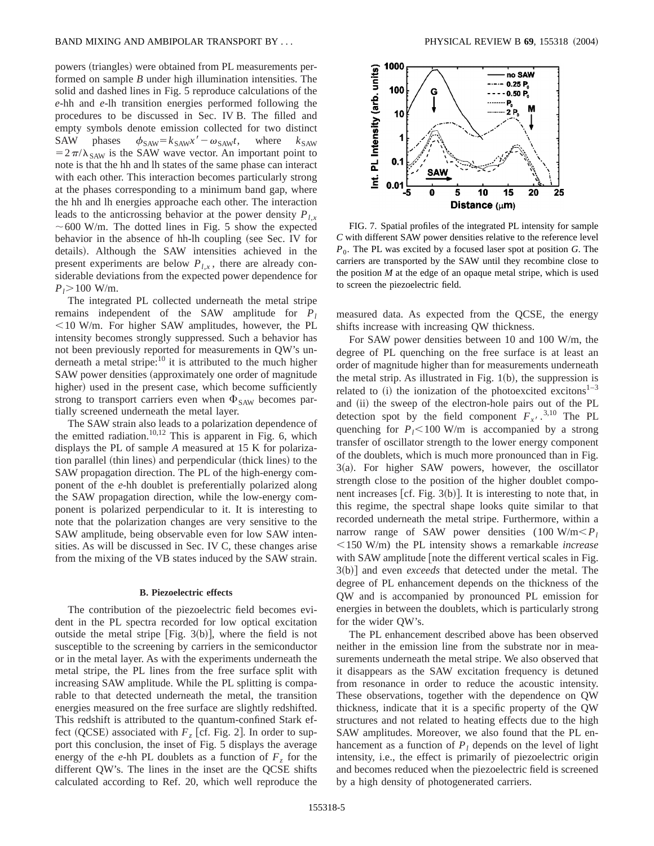powers (triangles) were obtained from PL measurements performed on sample *B* under high illumination intensities. The solid and dashed lines in Fig. 5 reproduce calculations of the *e*-hh and *e*-lh transition energies performed following the procedures to be discussed in Sec. IV B. The filled and empty symbols denote emission collected for two distinct SAW phases  $\phi_{SAW} = k_{SAW}x' - \omega_{SAW}t$ , where  $k_{SAW}$  $=2\pi/\lambda_{SAW}$  is the SAW wave vector. An important point to note is that the hh and lh states of the same phase can interact with each other. This interaction becomes particularly strong at the phases corresponding to a minimum band gap, where the hh and lh energies approache each other. The interaction leads to the anticrossing behavior at the power density  $P_{l,x}$  $\sim$  600 W/m. The dotted lines in Fig. 5 show the expected behavior in the absence of hh-lh coupling (see Sec. IV for details). Although the SAW intensities achieved in the present experiments are below  $P_{l.x}$ , there are already considerable deviations from the expected power dependence for  $P_l$  > 100 W/m.

The integrated PL collected underneath the metal stripe remains independent of the SAW amplitude for  $P_l$  $<$ 10 W/m. For higher SAW amplitudes, however, the PL intensity becomes strongly suppressed. Such a behavior has not been previously reported for measurements in QW's underneath a metal stripe: $10$  it is attributed to the much higher SAW power densities (approximately one order of magnitude higher) used in the present case, which become sufficiently strong to transport carriers even when  $\Phi_{SAW}$  becomes partially screened underneath the metal layer.

The SAW strain also leads to a polarization dependence of the emitted radiation.<sup>10,12</sup> This is apparent in Fig. 6, which displays the PL of sample *A* measured at 15 K for polarization parallel (thin lines) and perpendicular (thick lines) to the SAW propagation direction. The PL of the high-energy component of the *e*-hh doublet is preferentially polarized along the SAW propagation direction, while the low-energy component is polarized perpendicular to it. It is interesting to note that the polarization changes are very sensitive to the SAW amplitude, being observable even for low SAW intensities. As will be discussed in Sec. IV C, these changes arise from the mixing of the VB states induced by the SAW strain.

#### **B. Piezoelectric effects**

The contribution of the piezoelectric field becomes evident in the PL spectra recorded for low optical excitation outside the metal stripe [Fig.  $3(b)$ ], where the field is not susceptible to the screening by carriers in the semiconductor or in the metal layer. As with the experiments underneath the metal stripe, the PL lines from the free surface split with increasing SAW amplitude. While the PL splitting is comparable to that detected underneath the metal, the transition energies measured on the free surface are slightly redshifted. This redshift is attributed to the quantum-confined Stark effect (QCSE) associated with  $F<sub>z</sub>$  [cf. Fig. 2]. In order to support this conclusion, the inset of Fig. 5 displays the average energy of the  $e$ -hh PL doublets as a function of  $F<sub>z</sub>$  for the different QW's. The lines in the inset are the QCSE shifts calculated according to Ref. 20, which well reproduce the



FIG. 7. Spatial profiles of the integrated PL intensity for sample *C* with different SAW power densities relative to the reference level *P*0. The PL was excited by a focused laser spot at position *G*. The carriers are transported by the SAW until they recombine close to the position  $M$  at the edge of an opaque metal stripe, which is used to screen the piezoelectric field.

measured data. As expected from the QCSE, the energy shifts increase with increasing QW thickness.

For SAW power densities between 10 and 100 W/m, the degree of PL quenching on the free surface is at least an order of magnitude higher than for measurements underneath the metal strip. As illustrated in Fig.  $1(b)$ , the suppression is related to  $(i)$  the ionization of the photoexcited excitons<sup>1–3</sup> and (ii) the sweep of the electron-hole pairs out of the PL detection spot by the field component  $F_{x}$ ,  $^{3,10}$  The PL quenching for  $P_1$ <100 W/m is accompanied by a strong transfer of oscillator strength to the lower energy component of the doublets, which is much more pronounced than in Fig.  $3(a)$ . For higher SAW powers, however, the oscillator strength close to the position of the higher doublet component increases  $[cf. Fig. 3(b)].$  It is interesting to note that, in this regime, the spectral shape looks quite similar to that recorded underneath the metal stripe. Furthermore, within a narrow range of SAW power densities  $(100 \text{ W/m} < P_l)$ ,150 W/m) the PL intensity shows a remarkable *increase* with SAW amplitude [note the different vertical scales in Fig. 3(b)] and even *exceeds* that detected under the metal. The degree of PL enhancement depends on the thickness of the QW and is accompanied by pronounced PL emission for energies in between the doublets, which is particularly strong for the wider QW's.

The PL enhancement described above has been observed neither in the emission line from the substrate nor in measurements underneath the metal stripe. We also observed that it disappears as the SAW excitation frequency is detuned from resonance in order to reduce the acoustic intensity. These observations, together with the dependence on QW thickness, indicate that it is a specific property of the QW structures and not related to heating effects due to the high SAW amplitudes. Moreover, we also found that the PL enhancement as a function of  $P_l$  depends on the level of light intensity, i.e., the effect is primarily of piezoelectric origin and becomes reduced when the piezoelectric field is screened by a high density of photogenerated carriers.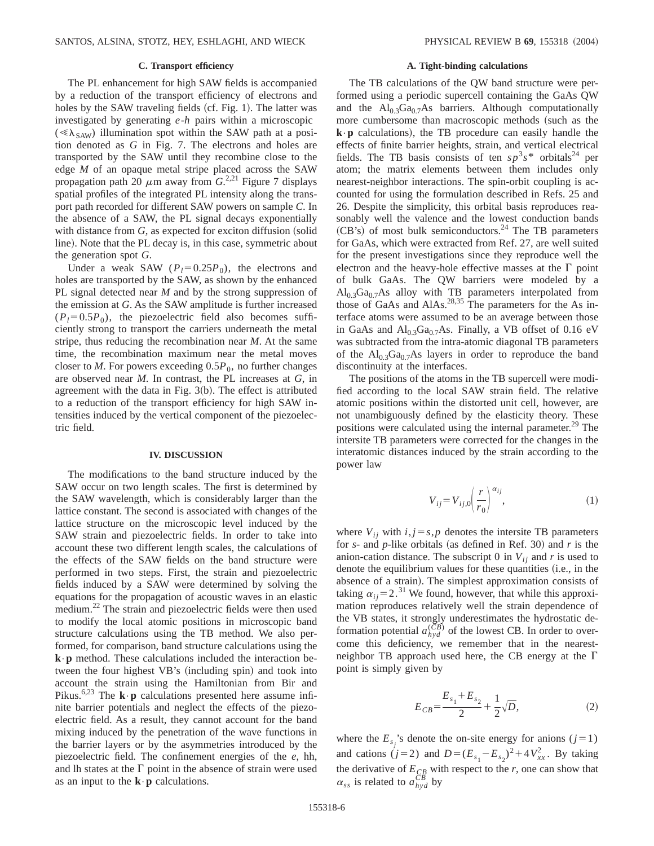#### **C. Transport efficiency**

The PL enhancement for high SAW fields is accompanied by a reduction of the transport efficiency of electrons and holes by the SAW traveling fields (cf. Fig. 1). The latter was investigated by generating *e*-*h* pairs within a microscopic  $(\ll \lambda_{SAW})$  illumination spot within the SAW path at a position denoted as *G* in Fig. 7. The electrons and holes are transported by the SAW until they recombine close to the edge *M* of an opaque metal stripe placed across the SAW propagation path 20  $\mu$ m away from *G*.<sup>2,21</sup> Figure 7 displays spatial profiles of the integrated PL intensity along the transport path recorded for different SAW powers on sample *C*. In the absence of a SAW, the PL signal decays exponentially with distance from  $G$ , as expected for exciton diffusion (solid line). Note that the PL decay is, in this case, symmetric about the generation spot *G*.

Under a weak SAW  $(P_1=0.25P_0)$ , the electrons and holes are transported by the SAW, as shown by the enhanced PL signal detected near *M* and by the strong suppression of the emission at *G*. As the SAW amplitude is further increased  $(P_l=0.5P_0)$ , the piezoelectric field also becomes sufficiently strong to transport the carriers underneath the metal stripe, thus reducing the recombination near *M*. At the same time, the recombination maximum near the metal moves closer to *M*. For powers exceeding  $0.5P_0$ , no further changes are observed near *M*. In contrast, the PL increases at *G*, in agreement with the data in Fig.  $3(b)$ . The effect is attributed to a reduction of the transport efficiency for high SAW intensities induced by the vertical component of the piezoelectric field.

### **IV. DISCUSSION**

The modifications to the band structure induced by the SAW occur on two length scales. The first is determined by the SAW wavelength, which is considerably larger than the lattice constant. The second is associated with changes of the lattice structure on the microscopic level induced by the SAW strain and piezoelectric fields. In order to take into account these two different length scales, the calculations of the effects of the SAW fields on the band structure were performed in two steps. First, the strain and piezoelectric fields induced by a SAW were determined by solving the equations for the propagation of acoustic waves in an elastic medium.22 The strain and piezoelectric fields were then used to modify the local atomic positions in microscopic band structure calculations using the TB method. We also performed, for comparison, band structure calculations using the  $\mathbf{k} \cdot \mathbf{p}$  method. These calculations included the interaction between the four highest VB's (including spin) and took into account the strain using the Hamiltonian from Bir and Pikus.<sup>6,23</sup> The  $\mathbf{k} \cdot \mathbf{p}$  calculations presented here assume infinite barrier potentials and neglect the effects of the piezoelectric field. As a result, they cannot account for the band mixing induced by the penetration of the wave functions in the barrier layers or by the asymmetries introduced by the piezoelectric field. The confinement energies of the *e*, hh, and lh states at the  $\Gamma$  point in the absence of strain were used as an input to the  $\mathbf{k} \cdot \mathbf{p}$  calculations.

### **A. Tight-binding calculations**

The TB calculations of the QW band structure were performed using a periodic supercell containing the GaAs QW and the  $Al_{0.3}Ga_{0.7}As$  barriers. Although computationally more cumbersome than macroscopic methods (such as the  $\mathbf{k} \cdot \mathbf{p}$  calculations), the TB procedure can easily handle the effects of finite barrier heights, strain, and vertical electrical fields. The TB basis consists of ten  $sp^3s^*$  orbitals<sup>24</sup> per atom; the matrix elements between them includes only nearest-neighbor interactions. The spin-orbit coupling is accounted for using the formulation described in Refs. 25 and 26. Despite the simplicity, this orbital basis reproduces reasonably well the valence and the lowest conduction bands  $(CB's)$  of most bulk semiconductors.<sup>24</sup> The TB parameters for GaAs, which were extracted from Ref. 27, are well suited for the present investigations since they reproduce well the electron and the heavy-hole effective masses at the  $\Gamma$  point of bulk GaAs. The QW barriers were modeled by a  $\text{Al}_{0.3}\text{Ga}_{0.7}\text{As}$  alloy with TB parameters interpolated from those of GaAs and AlAs.<sup>28,35</sup> The parameters for the As interface atoms were assumed to be an average between those in GaAs and  $Al_{0,3}Ga_{0,7}As$ . Finally, a VB offset of 0.16 eV was subtracted from the intra-atomic diagonal TB parameters of the  $Al<sub>0.3</sub>Ga<sub>0.7</sub>As layers in order to reproduce the band$ discontinuity at the interfaces.

The positions of the atoms in the TB supercell were modified according to the local SAW strain field. The relative atomic positions within the distorted unit cell, however, are not unambiguously defined by the elasticity theory. These positions were calculated using the internal parameter.<sup>29</sup> The intersite TB parameters were corrected for the changes in the interatomic distances induced by the strain according to the power law

$$
V_{ij} = V_{ij,0} \left(\frac{r}{r_0}\right)^{\alpha_{ij}},\tag{1}
$$

where  $V_{ii}$  with  $i, j = s, p$  denotes the intersite TB parameters for  $s$ - and  $p$ -like orbitals (as defined in Ref. 30) and  $r$  is the anion-cation distance. The subscript 0 in  $V_{ij}$  and *r* is used to denote the equilibrium values for these quantities (i.e., in the absence of a strain). The simplest approximation consists of taking  $\alpha_{ii}$ =2.<sup>31</sup> We found, however, that while this approximation reproduces relatively well the strain dependence of the VB states, it strongly underestimates the hydrostatic deformation potential  $a_{hyd}^{(\overline{CB})}$  of the lowest CB. In order to overcome this deficiency, we remember that in the nearestneighbor TB approach used here, the CB energy at the  $\Gamma$ point is simply given by

$$
E_{CB} = \frac{E_{s_1} + E_{s_2}}{2} + \frac{1}{2}\sqrt{D},\tag{2}
$$

where the  $E_{s_j}$ 's denote the on-site energy for anions ( $j=1$ ) and cations  $(j=2)$  and  $D = (E_{s_1} - E_{s_2})^2 + 4V_{xx}^2$ . By taking the derivative of  $E_{CB}$  with respect to the *r*, one can show that  $\alpha_{ss}$  is related to  $a_{hyd}^{CB}$  by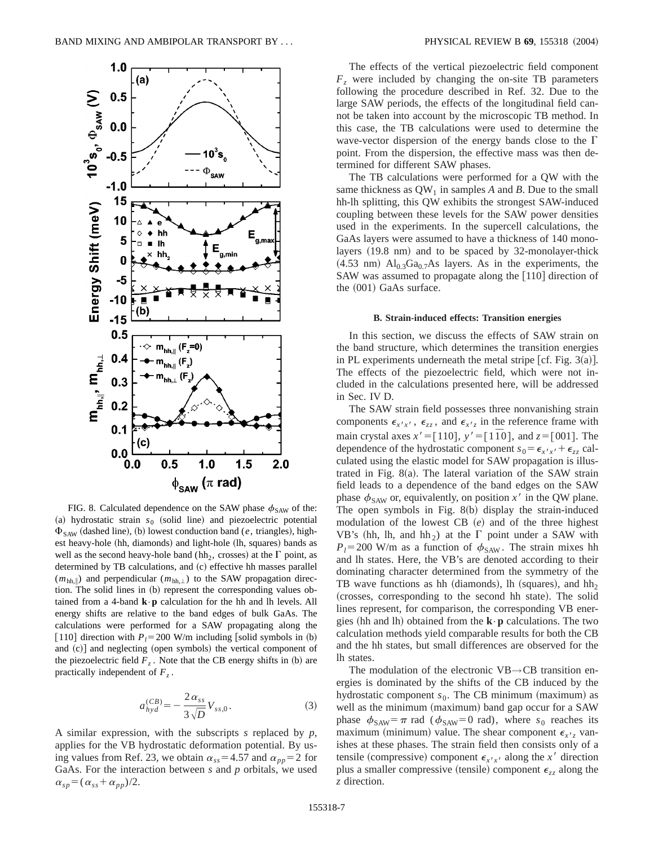

FIG. 8. Calculated dependence on the SAW phase  $\phi_{SAW}$  of the: (a) hydrostatic strain  $s<sub>0</sub>$  (solid line) and piezoelectric potential  $\Phi_{SAW}$  (dashed line), (b) lowest conduction band (*e*, triangles), highest heavy-hole (hh, diamonds) and light-hole (lh, squares) bands as well as the second heavy-hole band (hh<sub>2</sub>, crosses) at the  $\Gamma$  point, as determined by TB calculations, and (c) effective hh masses parallel  $(m<sub>hh</sub>)$  and perpendicular  $(m<sub>hh</sub>)$  to the SAW propagation direction. The solid lines in (b) represent the corresponding values obtained from a 4-band **k**•**p** calculation for the hh and lh levels. All energy shifts are relative to the band edges of bulk GaAs. The calculations were performed for a SAW propagating along the [110] direction with  $P_l$ =200 W/m including [solid symbols in (b) and (c)] and neglecting (open symbols) the vertical component of the piezoelectric field  $F_z$ . Note that the CB energy shifts in (b) are practically independent of  $F_z$ .

$$
a_{hyd}^{(CB)} = -\frac{2\,\alpha_{ss}}{3\,\sqrt{D}}V_{ss,0}.\tag{3}
$$

A similar expression, with the subscripts *s* replaced by *p*, applies for the VB hydrostatic deformation potential. By using values from Ref. 23, we obtain  $\alpha_{ss} = 4.57$  and  $\alpha_{pp} = 2$  for GaAs. For the interaction between *s* and *p* orbitals, we used  $\alpha_{sp}=(\alpha_{ss}+\alpha_{pp})/2.$ 

The effects of the vertical piezoelectric field component *Fz* were included by changing the on-site TB parameters following the procedure described in Ref. 32. Due to the large SAW periods, the effects of the longitudinal field cannot be taken into account by the microscopic TB method. In this case, the TB calculations were used to determine the wave-vector dispersion of the energy bands close to the  $\Gamma$ point. From the dispersion, the effective mass was then determined for different SAW phases.

The TB calculations were performed for a QW with the same thickness as  $QW_1$  in samples *A* and *B*. Due to the small hh-lh splitting, this QW exhibits the strongest SAW-induced coupling between these levels for the SAW power densities used in the experiments. In the supercell calculations, the GaAs layers were assumed to have a thickness of 140 monolayers  $(19.8 \text{ nm})$  and to be spaced by 32-monolayer-thick  $(4.53 \text{ nm})$   $\text{Al}_{0.3}\text{Ga}_{0.7}\text{As}$  layers. As in the experiments, the SAW was assumed to propagate along the [110] direction of the  $(001)$  GaAs surface.

#### **B. Strain-induced effects: Transition energies**

In this section, we discuss the effects of SAW strain on the band structure, which determines the transition energies in PL experiments underneath the metal stripe  $|cf. Fig. 3(a)|$ . The effects of the piezoelectric field, which were not included in the calculations presented here, will be addressed in Sec. IV D.

The SAW strain field possesses three nonvanishing strain components  $\epsilon_{x'x'}$ ,  $\epsilon_{zz}$ , and  $\epsilon_{x'z}$  in the reference frame with main crystal axes  $x' = [110]$ ,  $y' = [1\overline{1}0]$ , and  $z = [001]$ . The dependence of the hydrostatic component  $s_0 = \epsilon_{x^3} x^3 + \epsilon_{zz}$  calculated using the elastic model for SAW propagation is illustrated in Fig.  $8(a)$ . The lateral variation of the SAW strain field leads to a dependence of the band edges on the SAW phase  $\phi_{SAW}$  or, equivalently, on position  $x^{\prime}$  in the QW plane. The open symbols in Fig.  $8(b)$  display the strain-induced modulation of the lowest  $CB$   $(e)$  and of the three highest VB's (hh, lh, and hh<sub>2</sub>) at the  $\Gamma$  point under a SAW with  $P_l$ =200 W/m as a function of  $\phi_{SAW}$ . The strain mixes hh and lh states. Here, the VB's are denoted according to their dominating character determined from the symmetry of the TB wave functions as hh (diamonds), lh (squares), and hh<sub>2</sub> (crosses, corresponding to the second hh state). The solid lines represent, for comparison, the corresponding VB energies (hh and lh) obtained from the  $\mathbf{k} \cdot \mathbf{p}$  calculations. The two calculation methods yield comparable results for both the CB and the hh states, but small differences are observed for the lh states.

The modulation of the electronic  $VB \rightarrow CB$  transition energies is dominated by the shifts of the CB induced by the hydrostatic component  $s_0$ . The CB minimum (maximum) as well as the minimum (maximum) band gap occur for a SAW phase  $\phi_{SAW} = \pi$  rad ( $\phi_{SAW} = 0$  rad), where *s*<sub>0</sub> reaches its maximum (minimum) value. The shear component  $\epsilon_{x,z}$  vanishes at these phases. The strain field then consists only of a tensile (compressive) component  $\epsilon_{x'x'}$  along the *x'* direction plus a smaller compressive (tensile) component  $\epsilon_{zz}$  along the *z* direction.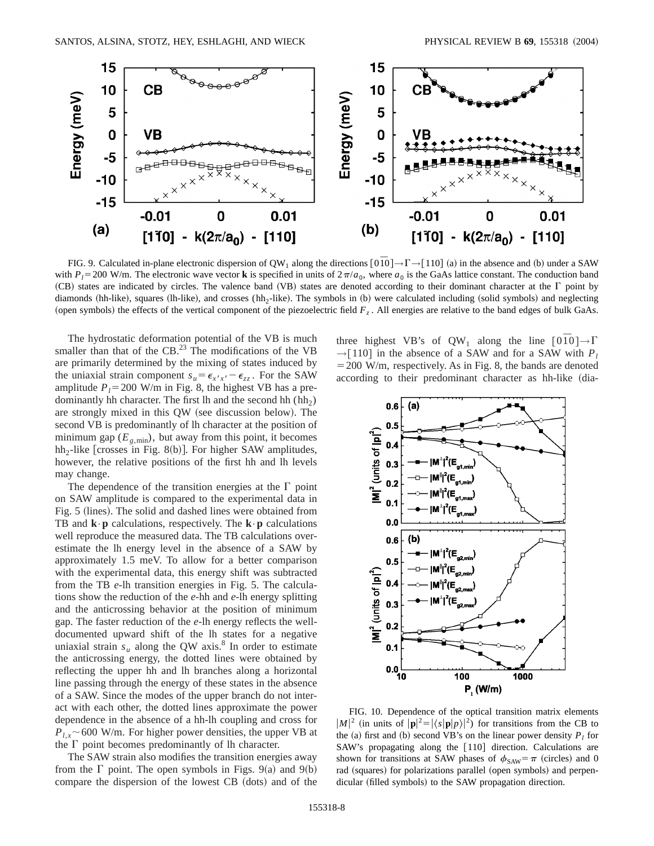

FIG. 9. Calculated in-plane electronic dispersion of QW<sub>1</sub> along the directions  $[0\,\overline{0}0] \rightarrow \Gamma \rightarrow [110]$  (a) in the absence and (b) under a SAW with  $P_l$ =200 W/m. The electronic wave vector **k** is specified in units of  $2\pi/a_0$ , where  $a_0$  is the GaAs lattice constant. The conduction band  $(CB)$  states are indicated by circles. The valence band (VB) states are denoted according to their dominant character at the  $\Gamma$  point by diamonds (hh-like), squares (lh-like), and crosses (hh<sub>2</sub>-like). The symbols in (b) were calculated including (solid symbols) and neglecting (open symbols) the effects of the vertical component of the piezoelectric field  $F<sub>z</sub>$ . All energies are relative to the band edges of bulk GaAs.

The hydrostatic deformation potential of the VB is much smaller than that of the  $CB<sup>23</sup>$ . The modifications of the VB are primarily determined by the mixing of states induced by the uniaxial strain component  $s_u = \epsilon_{x'x'} - \epsilon_{zz}$ . For the SAW amplitude  $P_1$ =200 W/m in Fig. 8, the highest VB has a predominantly hh character. The first lh and the second hh  $(hh<sub>2</sub>)$ are strongly mixed in this QW (see discussion below). The second VB is predominantly of lh character at the position of minimum gap  $(E_{g,\text{min}})$ , but away from this point, it becomes  $hh<sub>2</sub>$ -like [crosses in Fig. 8(b)]. For higher SAW amplitudes, however, the relative positions of the first hh and lh levels may change.

The dependence of the transition energies at the  $\Gamma$  point on SAW amplitude is compared to the experimental data in Fig. 5 (lines). The solid and dashed lines were obtained from TB and  $\mathbf{k} \cdot \mathbf{p}$  calculations, respectively. The  $\mathbf{k} \cdot \mathbf{p}$  calculations well reproduce the measured data. The TB calculations overestimate the lh energy level in the absence of a SAW by approximately 1.5 meV. To allow for a better comparison with the experimental data, this energy shift was subtracted from the TB *e*-lh transition energies in Fig. 5. The calculations show the reduction of the *e*-hh and *e*-lh energy splitting and the anticrossing behavior at the position of minimum gap. The faster reduction of the *e*-lh energy reflects the welldocumented upward shift of the lh states for a negative uniaxial strain  $s_u$  along the QW axis.<sup>8</sup> In order to estimate the anticrossing energy, the dotted lines were obtained by reflecting the upper hh and lh branches along a horizontal line passing through the energy of these states in the absence of a SAW. Since the modes of the upper branch do not interact with each other, the dotted lines approximate the power dependence in the absence of a hh-lh coupling and cross for  $P_{l,x}$  ~ 600 W/m. For higher power densities, the upper VB at the  $\Gamma$  point becomes predominantly of lh character.

The SAW strain also modifies the transition energies away from the  $\Gamma$  point. The open symbols in Figs. 9(a) and 9(b) compare the dispersion of the lowest CB (dots) and of the three highest VB's of QW<sub>1</sub> along the line  $\lceil 0\bar{1}0 \rceil \rightarrow \Gamma$  $\rightarrow$ [110] in the absence of a SAW and for a SAW with *P*<sub>l</sub>  $=$  200 W/m, respectively. As in Fig. 8, the bands are denoted according to their predominant character as hh-like (dia-



FIG. 10. Dependence of the optical transition matrix elements  $|M|^2$  (in units of  $|\mathbf{p}|^2 = |\langle s|\mathbf{p}|p\rangle|^2$ ) for transitions from the CB to the (a) first and (b) second VB's on the linear power density  $P_l$  for SAW's propagating along the  $\lceil 110 \rceil$  direction. Calculations are shown for transitions at SAW phases of  $\phi_{SAW} = \pi$  (circles) and 0 rad (squares) for polarizations parallel (open symbols) and perpendicular (filled symbols) to the SAW propagation direction.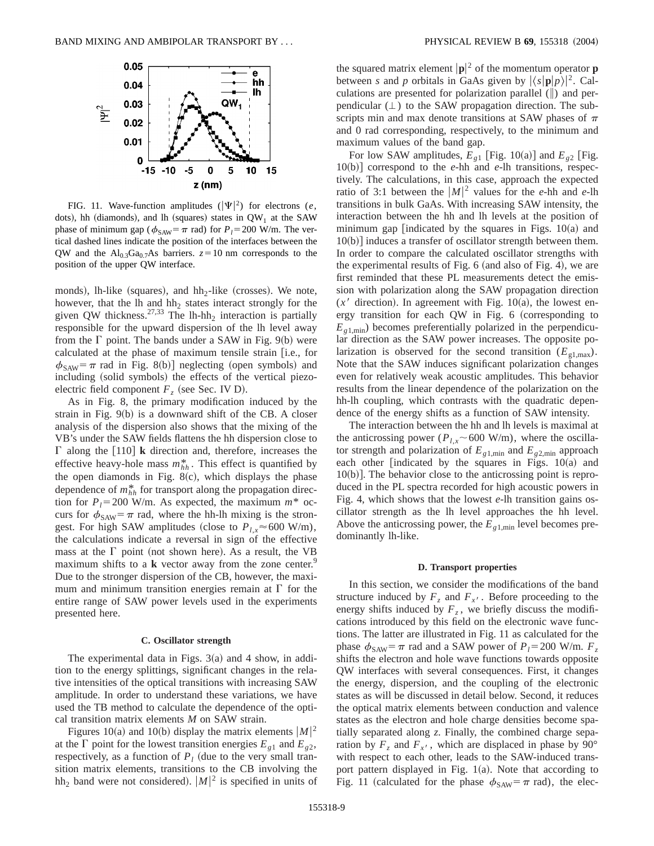

FIG. 11. Wave-function amplitudes  $(|\Psi|^2)$  for electrons (*e*, dots), hh (diamonds), and lh (squares) states in  $QW_1$  at the SAW phase of minimum gap ( $\phi_{SAW} = \pi$  rad) for *P*<sub>1</sub>=200 W/m. The vertical dashed lines indicate the position of the interfaces between the QW and the  $Al_{0,3}Ga_{0,7}As$  barriers.  $z=10$  nm corresponds to the position of the upper QW interface.

monds), lh-like (squares), and hh<sub>2</sub>-like (crosses). We note, however, that the lh and  $hh<sub>2</sub>$  states interact strongly for the given QW thickness.<sup>27,33</sup> The lh-hh<sub>2</sub> interaction is partially responsible for the upward dispersion of the lh level away from the  $\Gamma$  point. The bands under a SAW in Fig. 9(b) were calculated at the phase of maximum tensile strain [i.e., for  $\phi_{SAW} = \pi$  rad in Fig. 8(b)] neglecting (open symbols) and including (solid symbols) the effects of the vertical piezoelectric field component  $F_z$  (see Sec. IV D).

As in Fig. 8, the primary modification induced by the strain in Fig.  $9(b)$  is a downward shift of the CB. A closer analysis of the dispersion also shows that the mixing of the VB's under the SAW fields flattens the hh dispersion close to  $\Gamma$  along the  $[110]$  **k** direction and, therefore, increases the effective heavy-hole mass  $m_{hh}^*$ . This effect is quantified by the open diamonds in Fig.  $8(c)$ , which displays the phase dependence of  $m_{hh}^{*}$  for transport along the propagation direction for  $P_l$ =200 W/m. As expected, the maximum  $m^*$  occurs for  $\phi_{SAW} = \pi$  rad, where the hh-lh mixing is the strongest. For high SAW amplitudes (close to  $P_{l,x} \approx 600$  W/m), the calculations indicate a reversal in sign of the effective mass at the  $\Gamma$  point (not shown here). As a result, the VB maximum shifts to a **k** vector away from the zone center.<sup>9</sup> Due to the stronger dispersion of the CB, however, the maximum and minimum transition energies remain at  $\Gamma$  for the entire range of SAW power levels used in the experiments presented here.

#### **C. Oscillator strength**

The experimental data in Figs.  $3(a)$  and 4 show, in addition to the energy splittings, significant changes in the relative intensities of the optical transitions with increasing SAW amplitude. In order to understand these variations, we have used the TB method to calculate the dependence of the optical transition matrix elements *M* on SAW strain.

Figures 10(a) and 10(b) display the matrix elements  $|M|^2$ at the  $\Gamma$  point for the lowest transition energies  $E_{g1}$  and  $E_{g2}$ , respectively, as a function of  $P_l$  (due to the very small transition matrix elements, transitions to the CB involving the hh<sub>2</sub> band were not considered).  $|M|^2$  is specified in units of

the squared matrix element  $|\mathbf{p}|^2$  of the momentum operator **p** between *s* and *p* orbitals in GaAs given by  $|\langle s|\mathbf{p}|p\rangle|^2$ . Calculations are presented for polarization parallel  $(\|)$  and perpendicular  $(\perp)$  to the SAW propagation direction. The subscripts min and max denote transitions at SAW phases of  $\pi$ and 0 rad corresponding, respectively, to the minimum and maximum values of the band gap.

For low SAW amplitudes,  $E_{g1}$  [Fig. 10(a)] and  $E_{g2}$  [Fig.  $10(b)$ ] correspond to the  $e$ -hh and  $e$ -lh transitions, respectively. The calculations, in this case, approach the expected ratio of 3:1 between the  $|M|^2$  values for the *e*-hh and *e*-lh transitions in bulk GaAs. With increasing SAW intensity, the interaction between the hh and lh levels at the position of minimum gap [indicated by the squares in Figs.  $10(a)$  and  $10(b)$  induces a transfer of oscillator strength between them. In order to compare the calculated oscillator strengths with the experimental results of Fig.  $6$  (and also of Fig. 4), we are first reminded that these PL measurements detect the emission with polarization along the SAW propagation direction  $(x<sup>8</sup>)$  direction). In agreement with Fig. 10(a), the lowest energy transition for each  $QW$  in Fig. 6 (corresponding to  $E_{g1,min}$ ) becomes preferentially polarized in the perpendicular direction as the SAW power increases. The opposite polarization is observed for the second transition  $(E_{g1,max})$ . Note that the SAW induces significant polarization changes even for relatively weak acoustic amplitudes. This behavior results from the linear dependence of the polarization on the hh-lh coupling, which contrasts with the quadratic dependence of the energy shifts as a function of SAW intensity.

The interaction between the hh and lh levels is maximal at the anticrossing power ( $P_{l,x}$  ~ 600 W/m), where the oscillator strength and polarization of  $E_{g1,min}$  and  $E_{g2,min}$  approach each other [indicated by the squares in Figs.  $10(a)$  and  $10(b)$ . The behavior close to the anticrossing point is reproduced in the PL spectra recorded for high acoustic powers in Fig. 4, which shows that the lowest *e*-lh transition gains oscillator strength as the lh level approaches the hh level. Above the anticrossing power, the  $E_{g1,min}$  level becomes predominantly lh-like.

#### **D. Transport properties**

In this section, we consider the modifications of the band structure induced by  $F<sub>z</sub>$  and  $F<sub>x'</sub>$ . Before proceeding to the energy shifts induced by  $F_z$ , we briefly discuss the modifications introduced by this field on the electronic wave functions. The latter are illustrated in Fig. 11 as calculated for the phase  $\phi_{SAW} = \pi$  rad and a SAW power of *P*<sub>1</sub>=200 W/m. *F<sub>z</sub>* shifts the electron and hole wave functions towards opposite QW interfaces with several consequences. First, it changes the energy, dispersion, and the coupling of the electronic states as will be discussed in detail below. Second, it reduces the optical matrix elements between conduction and valence states as the electron and hole charge densities become spatially separated along *z*. Finally, the combined charge separation by  $F_z$  and  $F_{x}$ , which are displaced in phase by 90° with respect to each other, leads to the SAW-induced transport pattern displayed in Fig.  $1(a)$ . Note that according to Fig. 11 (calculated for the phase  $\phi_{SAW} = \pi$  rad), the elec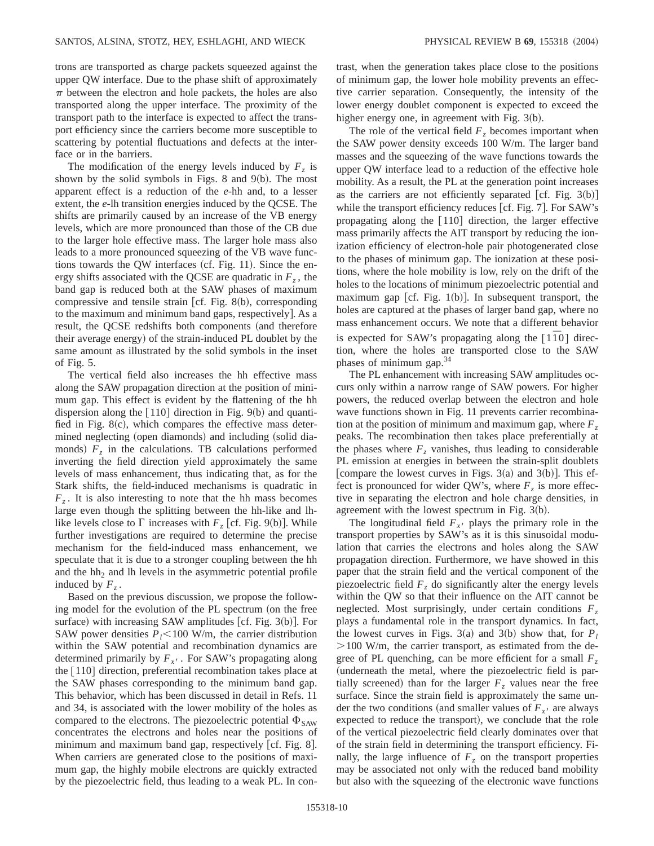trons are transported as charge packets squeezed against the upper QW interface. Due to the phase shift of approximately  $\pi$  between the electron and hole packets, the holes are also transported along the upper interface. The proximity of the transport path to the interface is expected to affect the transport efficiency since the carriers become more susceptible to scattering by potential fluctuations and defects at the interface or in the barriers.

The modification of the energy levels induced by  $F_z$  is shown by the solid symbols in Figs. 8 and  $9(b)$ . The most apparent effect is a reduction of the *e*-hh and, to a lesser extent, the *e*-lh transition energies induced by the QCSE. The shifts are primarily caused by an increase of the VB energy levels, which are more pronounced than those of the CB due to the larger hole effective mass. The larger hole mass also leads to a more pronounced squeezing of the VB wave functions towards the QW interfaces (cf. Fig. 11). Since the energy shifts associated with the QCSE are quadratic in  $F_z$ , the band gap is reduced both at the SAW phases of maximum compressive and tensile strain [cf. Fig. 8 $(b)$ , corresponding to the maximum and minimum band gaps, respectively]. As a result, the QCSE redshifts both components (and therefore their average energy) of the strain-induced PL doublet by the same amount as illustrated by the solid symbols in the inset of Fig. 5.

The vertical field also increases the hh effective mass along the SAW propagation direction at the position of minimum gap. This effect is evident by the flattening of the hh dispersion along the  $\lceil 110 \rceil$  direction in Fig. 9(b) and quantified in Fig.  $8(c)$ , which compares the effective mass determined neglecting (open diamonds) and including (solid diamonds)  $F<sub>z</sub>$  in the calculations. TB calculations performed inverting the field direction yield approximately the same levels of mass enhancement, thus indicating that, as for the Stark shifts, the field-induced mechanisms is quadratic in  $F_{z}$ . It is also interesting to note that the hh mass becomes large even though the splitting between the hh-like and lhlike levels close to  $\Gamma$  increases with  $F_z$  [cf. Fig. 9(b)]. While further investigations are required to determine the precise mechanism for the field-induced mass enhancement, we speculate that it is due to a stronger coupling between the hh and the  $hh<sub>2</sub>$  and lh levels in the asymmetric potential profile induced by  $F<sub>z</sub>$ .

Based on the previous discussion, we propose the following model for the evolution of the PL spectrum (on the free surface) with increasing SAW amplitudes [cf. Fig.  $3(b)$ ]. For SAW power densities  $P_1$ <100 W/m, the carrier distribution within the SAW potential and recombination dynamics are determined primarily by  $F_{x}$ . For SAW's propagating along the  $\lceil 110 \rceil$  direction, preferential recombination takes place at the SAW phases corresponding to the minimum band gap. This behavior, which has been discussed in detail in Refs. 11 and 34, is associated with the lower mobility of the holes as compared to the electrons. The piezoelectric potential  $\Phi_{SAW}$ concentrates the electrons and holes near the positions of minimum and maximum band gap, respectively  $[cf. Fig. 8].$ When carriers are generated close to the positions of maximum gap, the highly mobile electrons are quickly extracted by the piezoelectric field, thus leading to a weak PL. In contrast, when the generation takes place close to the positions of minimum gap, the lower hole mobility prevents an effective carrier separation. Consequently, the intensity of the lower energy doublet component is expected to exceed the higher energy one, in agreement with Fig.  $3(b)$ .

The role of the vertical field  $F<sub>z</sub>$  becomes important when the SAW power density exceeds 100 W/m. The larger band masses and the squeezing of the wave functions towards the upper QW interface lead to a reduction of the effective hole mobility. As a result, the PL at the generation point increases as the carriers are not efficiently separated  $[cf. Fig. 3(b)]$ while the transport efficiency reduces  $[cf. Fig. 7]$ . For SAW's propagating along the  $[110]$  direction, the larger effective mass primarily affects the AIT transport by reducing the ionization efficiency of electron-hole pair photogenerated close to the phases of minimum gap. The ionization at these positions, where the hole mobility is low, rely on the drift of the holes to the locations of minimum piezoelectric potential and maximum gap  $[cf. Fig. 1(b)].$  In subsequent transport, the holes are captured at the phases of larger band gap, where no mass enhancement occurs. We note that a different behavior is expected for SAW's propagating along the  $\lceil 1\overline{1}0 \rceil$  direction, where the holes are transported close to the SAW phases of minimum gap.<sup>34</sup>

The PL enhancement with increasing SAW amplitudes occurs only within a narrow range of SAW powers. For higher powers, the reduced overlap between the electron and hole wave functions shown in Fig. 11 prevents carrier recombination at the position of minimum and maximum gap, where  $F_z$ peaks. The recombination then takes place preferentially at the phases where  $F<sub>z</sub>$  vanishes, thus leading to considerable PL emission at energies in between the strain-split doublets [compare the lowest curves in Figs. 3(a) and 3(b)]. This effect is pronounced for wider QW's, where  $F<sub>z</sub>$  is more effective in separating the electron and hole charge densities, in agreement with the lowest spectrum in Fig.  $3(b)$ .

The longitudinal field  $F_{x}$ , plays the primary role in the transport properties by SAW's as it is this sinusoidal modulation that carries the electrons and holes along the SAW propagation direction. Furthermore, we have showed in this paper that the strain field and the vertical component of the piezoelectric field  $F<sub>z</sub>$  do significantly alter the energy levels within the QW so that their influence on the AIT cannot be neglected. Most surprisingly, under certain conditions  $F_z$ plays a fundamental role in the transport dynamics. In fact, the lowest curves in Figs. 3(a) and 3(b) show that, for  $P_l$  $>100$  W/m, the carrier transport, as estimated from the degree of PL quenching, can be more efficient for a small  $F<sub>z</sub>$ (underneath the metal, where the piezoelectric field is partially screened) than for the larger  $F<sub>z</sub>$  values near the free surface. Since the strain field is approximately the same under the two conditions (and smaller values of  $F_{x}$  are always expected to reduce the transport), we conclude that the role of the vertical piezoelectric field clearly dominates over that of the strain field in determining the transport efficiency. Finally, the large influence of  $F<sub>z</sub>$  on the transport properties may be associated not only with the reduced band mobility but also with the squeezing of the electronic wave functions